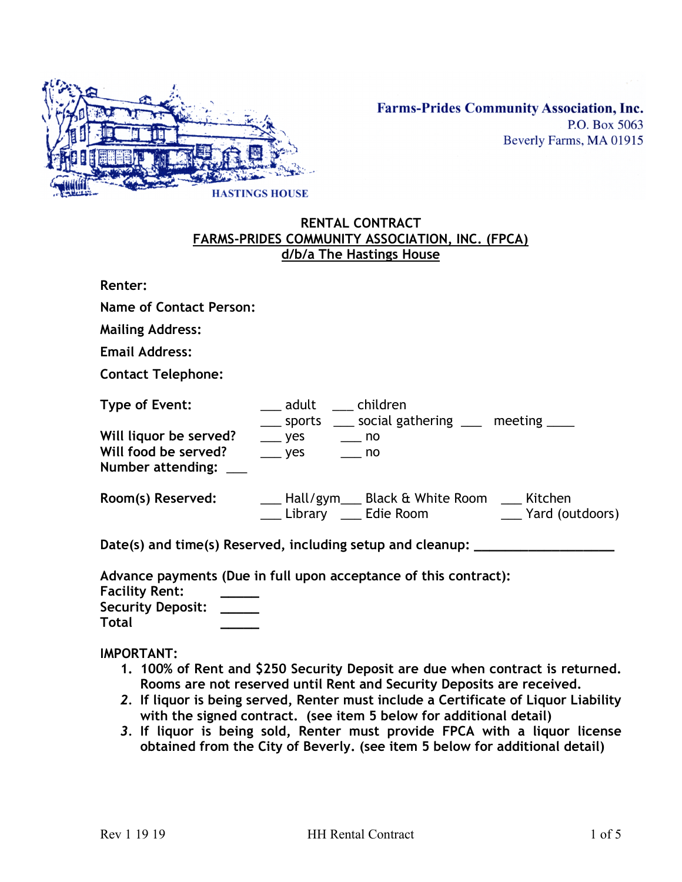

## **RENTAL CONTRACT FARMS-PRIDES COMMUNITY ASSOCIATION, INC. (FPCA) d/b/a The Hastings House**

**Renter:**

**Name of Contact Person:**

**Mailing Address:** 

**Email Address:** 

**Contact Telephone:** 

| Type of Event:                                                          | adult children               | ____ sports ____ social gathering ____ meeting ____ |         |
|-------------------------------------------------------------------------|------------------------------|-----------------------------------------------------|---------|
| Will liquor be served?<br>Will food be served?<br>Number attending: ___ | $\rightharpoonup$ yes<br>ves | $\equiv$ no<br>no no                                |         |
| Room(s) Reserved:                                                       |                              | Hall/gym___ Black & White Room                      | Kitchen |

\_\_\_ Library \_\_\_ Edie Room \_\_\_ Yard (outdoors)

**Date(s) and time(s) Reserved, including setup and cleanup: \_\_\_\_\_\_\_\_\_\_\_\_\_\_\_\_\_\_** 

**Advance payments (Due in full upon acceptance of this contract):**

**Facility Rent: \_\_\_\_\_ Security Deposit: \_\_\_\_\_**

**IMPORTANT:** 

**Total \_\_\_\_\_** 

- **1. 100% of Rent and \$250 Security Deposit are due when contract is returned. Rooms are not reserved until Rent and Security Deposits are received.**
- *2.* **If liquor is being served, Renter must include a Certificate of Liquor Liability with the signed contract. (see item 5 below for additional detail)**
- *3.* **If liquor is being sold, Renter must provide FPCA with a liquor license obtained from the City of Beverly. (see item 5 below for additional detail)**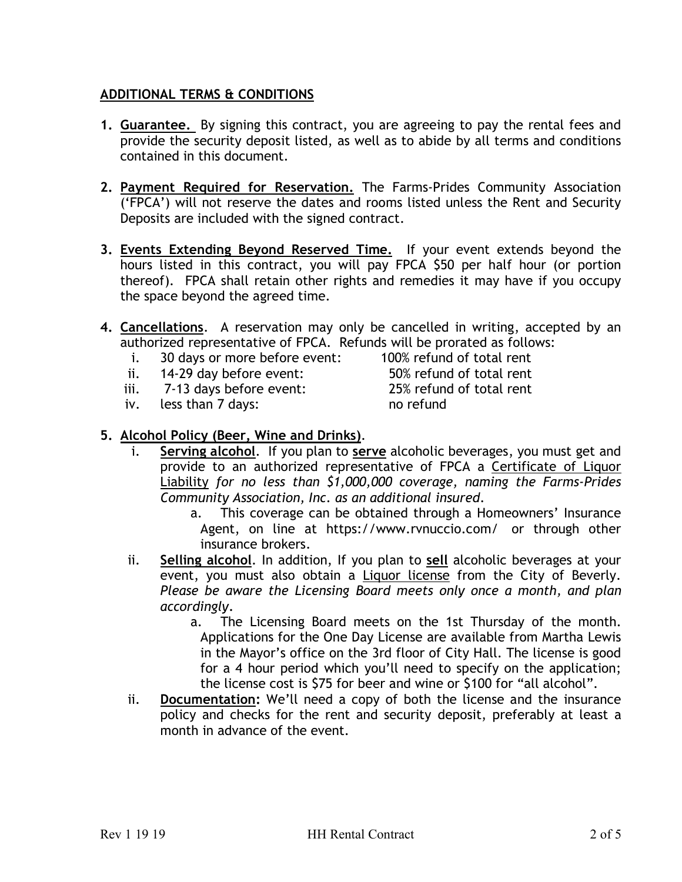## **ADDITIONAL TERMS & CONDITIONS**

- **1. Guarantee.** By signing this contract, you are agreeing to pay the rental fees and provide the security deposit listed, as well as to abide by all terms and conditions contained in this document.
- **2. Payment Required for Reservation.** The Farms-Prides Community Association ('FPCA') will not reserve the dates and rooms listed unless the Rent and Security Deposits are included with the signed contract.
- **3. Events Extending Beyond Reserved Time.** If your event extends beyond the hours listed in this contract, you will pay FPCA \$50 per half hour (or portion thereof). FPCA shall retain other rights and remedies it may have if you occupy the space beyond the agreed time.
- **4. Cancellations**. A reservation may only be cancelled in writing, accepted by an authorized representative of FPCA. Refunds will be prorated as follows:
	- i. 30 days or more before event: 100% refund of total rent
	- ii. 14-29 day before event: 50% refund of total rent
	- iii. 7-13 days before event: 25% refund of total rent
	- iv. less than 7 days: no refund
- 

## **5. Alcohol Policy (Beer, Wine and Drinks)**.

- i. **Serving alcohol**. If you plan to **serve** alcoholic beverages, you must get and provide to an authorized representative of FPCA a Certificate of Liquor Liability *for no less than \$1,000,000 coverage, naming the Farms-Prides Community Association, Inc. as an additional insured*.
	- a. This coverage can be obtained through a Homeowners' Insurance Agent, on line at https://www.rvnuccio.com/ or through other insurance brokers.
- ii. **Selling alcohol**. In addition, If you plan to **sell** alcoholic beverages at your event, you must also obtain a Liquor license from the City of Beverly. *Please be aware the Licensing Board meets only once a month, and plan accordingly.*
	- a. The Licensing Board meets on the 1st Thursday of the month. Applications for the One Day License are available from Martha Lewis in the Mayor's office on the 3rd floor of City Hall. The license is good for a 4 hour period which you'll need to specify on the application; the license cost is \$75 for beer and wine or \$100 for "all alcohol".
- ii. **Documentation:** We'll need a copy of both the license and the insurance policy and checks for the rent and security deposit, preferably at least a month in advance of the event.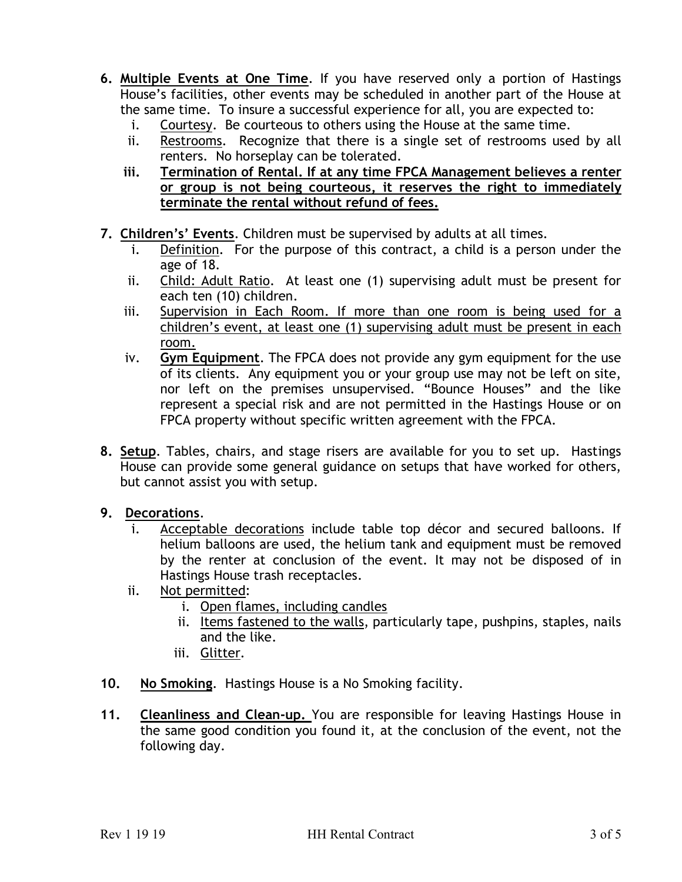- **6. Multiple Events at One Time**. If you have reserved only a portion of Hastings House's facilities, other events may be scheduled in another part of the House at the same time. To insure a successful experience for all, you are expected to:
	- i. Courtesy. Be courteous to others using the House at the same time.
	- ii. Restrooms. Recognize that there is a single set of restrooms used by all renters. No horseplay can be tolerated.
	- **iii. Termination of Rental. If at any time FPCA Management believes a renter or group is not being courteous, it reserves the right to immediately terminate the rental without refund of fees.**
- **7. Children's' Events**. Children must be supervised by adults at all times.
	- i. Definition. For the purpose of this contract, a child is a person under the age of 18.
	- ii. Child: Adult Ratio. At least one (1) supervising adult must be present for each ten (10) children.
	- iii. Supervision in Each Room. If more than one room is being used for a children's event, at least one (1) supervising adult must be present in each room.
	- iv. **Gym Equipment**. The FPCA does not provide any gym equipment for the use of its clients. Any equipment you or your group use may not be left on site, nor left on the premises unsupervised. "Bounce Houses" and the like represent a special risk and are not permitted in the Hastings House or on FPCA property without specific written agreement with the FPCA.
- **8. Setup**. Tables, chairs, and stage risers are available for you to set up. Hastings House can provide some general guidance on setups that have worked for others, but cannot assist you with setup.
- **9. Decorations**.
	- i. Acceptable decorations include table top décor and secured balloons. If helium balloons are used, the helium tank and equipment must be removed by the renter at conclusion of the event. It may not be disposed of in Hastings House trash receptacles.
	- ii. Not permitted:
		- i. Open flames, including candles
		- ii. Items fastened to the walls, particularly tape, pushpins, staples, nails and the like.
		- iii. Glitter.
- **10. No Smoking**. Hastings House is a No Smoking facility.
- **11. Cleanliness and Clean-up.** You are responsible for leaving Hastings House in the same good condition you found it, at the conclusion of the event, not the following day.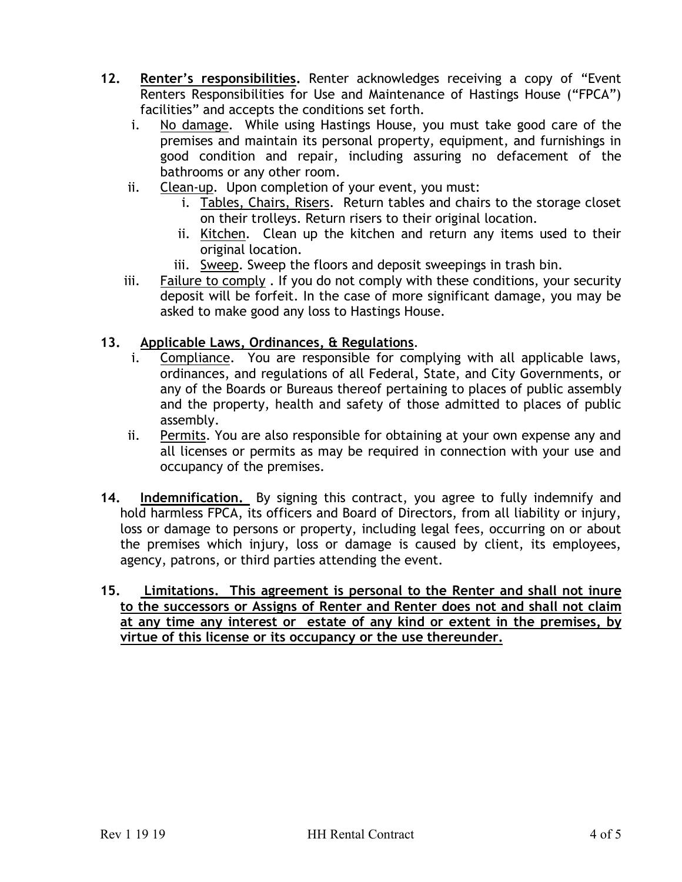- **12. Renter's responsibilities.** Renter acknowledges receiving a copy of "Event Renters Responsibilities for Use and Maintenance of Hastings House ("FPCA") facilities" and accepts the conditions set forth.
	- i. No damage. While using Hastings House, you must take good care of the premises and maintain its personal property, equipment, and furnishings in good condition and repair, including assuring no defacement of the bathrooms or any other room.
	- ii. Clean-up. Upon completion of your event, you must:
		- i. Tables, Chairs, Risers. Return tables and chairs to the storage closet on their trolleys. Return risers to their original location.
		- ii. Kitchen. Clean up the kitchen and return any items used to their original location.
		- iii. Sweep. Sweep the floors and deposit sweepings in trash bin.
	- iii. Failure to comply . If you do not comply with these conditions, your security deposit will be forfeit. In the case of more significant damage, you may be asked to make good any loss to Hastings House.

### **13. Applicable Laws, Ordinances, & Regulations**.

- i. Compliance. You are responsible for complying with all applicable laws, ordinances, and regulations of all Federal, State, and City Governments, or any of the Boards or Bureaus thereof pertaining to places of public assembly and the property, health and safety of those admitted to places of public assembly.
- ii. Permits. You are also responsible for obtaining at your own expense any and all licenses or permits as may be required in connection with your use and occupancy of the premises.
- **14. Indemnification.** By signing this contract, you agree to fully indemnify and hold harmless FPCA, its officers and Board of Directors, from all liability or injury, loss or damage to persons or property, including legal fees, occurring on or about the premises which injury, loss or damage is caused by client, its employees, agency, patrons, or third parties attending the event.
- **15. Limitations. This agreement is personal to the Renter and shall not inure to the successors or Assigns of Renter and Renter does not and shall not claim at any time any interest or estate of any kind or extent in the premises, by virtue of this license or its occupancy or the use thereunder.**